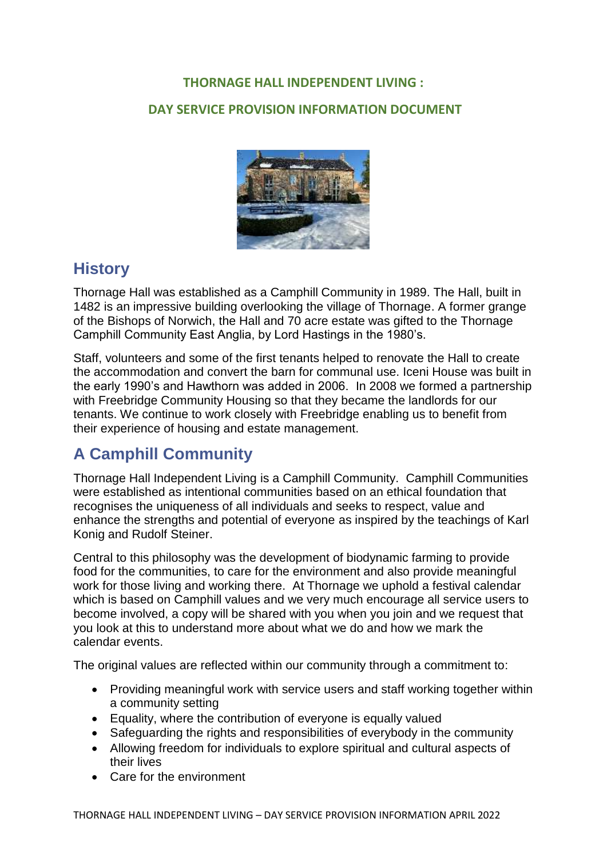#### **THORNAGE HALL INDEPENDENT LIVING :**

#### **DAY SERVICE PROVISION INFORMATION DOCUMENT**



### **History**

Thornage Hall was established as a Camphill Community in 1989. The Hall, built in 1482 is an impressive building overlooking the village of Thornage. A former grange of the Bishops of Norwich, the Hall and 70 acre estate was gifted to the Thornage Camphill Community East Anglia, by Lord Hastings in the 1980's.

Staff, volunteers and some of the first tenants helped to renovate the Hall to create the accommodation and convert the barn for communal use. Iceni House was built in the early 1990's and Hawthorn was added in 2006. In 2008 we formed a partnership with Freebridge Community Housing so that they became the landlords for our tenants. We continue to work closely with Freebridge enabling us to benefit from their experience of housing and estate management.

### **A Camphill Community**

Thornage Hall Independent Living is a Camphill Community. Camphill Communities were established as intentional communities based on an ethical foundation that recognises the uniqueness of all individuals and seeks to respect, value and enhance the strengths and potential of everyone as inspired by the teachings of Karl Konig and Rudolf Steiner.

Central to this philosophy was the development of biodynamic farming to provide food for the communities, to care for the environment and also provide meaningful work for those living and working there. At Thornage we uphold a festival calendar which is based on Camphill values and we very much encourage all service users to become involved, a copy will be shared with you when you join and we request that you look at this to understand more about what we do and how we mark the calendar events.

The original values are reflected within our community through a commitment to:

- Providing meaningful work with service users and staff working together within a community setting
- Equality, where the contribution of everyone is equally valued
- Safeguarding the rights and responsibilities of everybody in the community
- Allowing freedom for individuals to explore spiritual and cultural aspects of their lives
- Care for the environment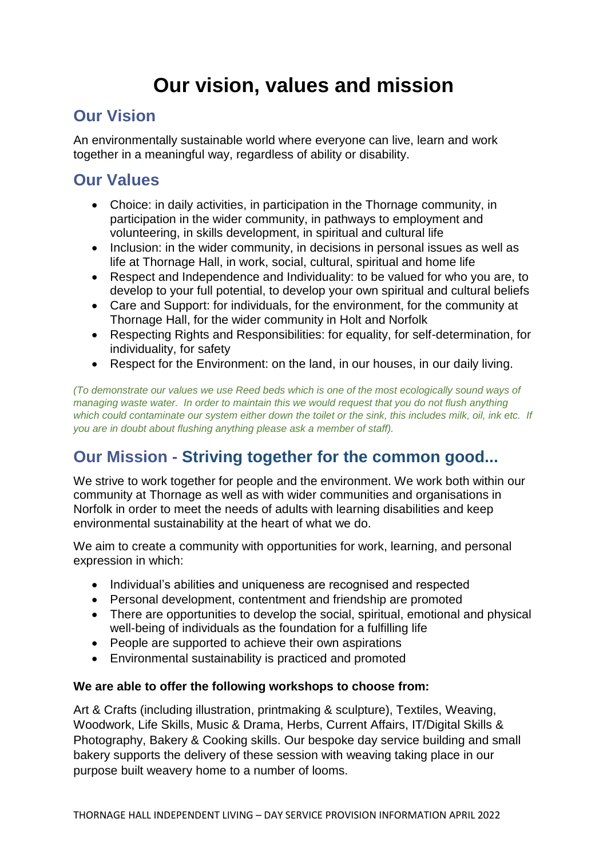# **Our vision, values and mission**

### **Our Vision**

An environmentally sustainable world where everyone can live, learn and work together in a meaningful way, regardless of ability or disability.

### **Our Values**

- Choice: in daily activities, in participation in the Thornage community, in participation in the wider community, in pathways to employment and volunteering, in skills development, in spiritual and cultural life
- Inclusion: in the wider community, in decisions in personal issues as well as life at Thornage Hall, in work, social, cultural, spiritual and home life
- Respect and Independence and Individuality: to be valued for who you are, to develop to your full potential, to develop your own spiritual and cultural beliefs
- Care and Support: for individuals, for the environment, for the community at Thornage Hall, for the wider community in Holt and Norfolk
- Respecting Rights and Responsibilities: for equality, for self-determination, for individuality, for safety
- Respect for the Environment: on the land, in our houses, in our daily living.

*(To demonstrate our values we use Reed beds which is one of the most ecologically sound ways of managing waste water. In order to maintain this we would request that you do not flush anything which could contaminate our system either down the toilet or the sink, this includes milk, oil, ink etc. If you are in doubt about flushing anything please ask a member of staff).*

## **Our Mission - Striving together for the common good...**

We strive to work together for people and the environment. We work both within our community at Thornage as well as with wider communities and organisations in Norfolk in order to meet the needs of adults with learning disabilities and keep environmental sustainability at the heart of what we do.

We aim to create a community with opportunities for work, learning, and personal expression in which:

- Individual's abilities and uniqueness are recognised and respected
- Personal development, contentment and friendship are promoted
- There are opportunities to develop the social, spiritual, emotional and physical well-being of individuals as the foundation for a fulfilling life
- People are supported to achieve their own aspirations
- Environmental sustainability is practiced and promoted

#### **We are able to offer the following workshops to choose from:**

Art & Crafts (including illustration, printmaking & sculpture), Textiles, Weaving, Woodwork, Life Skills, Music & Drama, Herbs, Current Affairs, IT/Digital Skills & Photography, Bakery & Cooking skills. Our bespoke day service building and small bakery supports the delivery of these session with weaving taking place in our purpose built weavery home to a number of looms.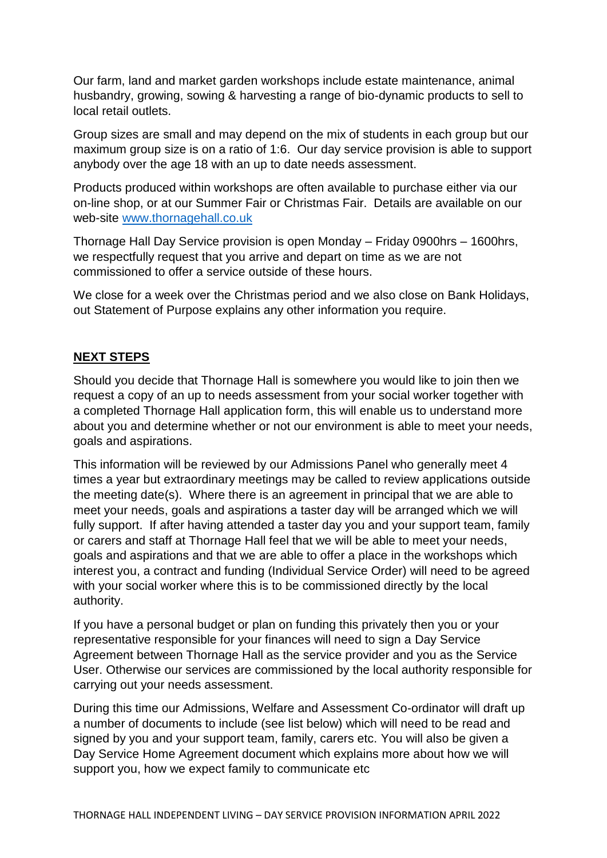Our farm, land and market garden workshops include estate maintenance, animal husbandry, growing, sowing & harvesting a range of bio-dynamic products to sell to local retail outlets.

Group sizes are small and may depend on the mix of students in each group but our maximum group size is on a ratio of 1:6. Our day service provision is able to support anybody over the age 18 with an up to date needs assessment.

Products produced within workshops are often available to purchase either via our on-line shop, or at our Summer Fair or Christmas Fair. Details are available on our web-site [www.thornagehall.co.uk](http://www.thornagehall.co.uk/)

Thornage Hall Day Service provision is open Monday – Friday 0900hrs – 1600hrs, we respectfully request that you arrive and depart on time as we are not commissioned to offer a service outside of these hours.

We close for a week over the Christmas period and we also close on Bank Holidays, out Statement of Purpose explains any other information you require.

### **NEXT STEPS**

Should you decide that Thornage Hall is somewhere you would like to join then we request a copy of an up to needs assessment from your social worker together with a completed Thornage Hall application form, this will enable us to understand more about you and determine whether or not our environment is able to meet your needs, goals and aspirations.

This information will be reviewed by our Admissions Panel who generally meet 4 times a year but extraordinary meetings may be called to review applications outside the meeting date(s). Where there is an agreement in principal that we are able to meet your needs, goals and aspirations a taster day will be arranged which we will fully support. If after having attended a taster day you and your support team, family or carers and staff at Thornage Hall feel that we will be able to meet your needs, goals and aspirations and that we are able to offer a place in the workshops which interest you, a contract and funding (Individual Service Order) will need to be agreed with your social worker where this is to be commissioned directly by the local authority.

If you have a personal budget or plan on funding this privately then you or your representative responsible for your finances will need to sign a Day Service Agreement between Thornage Hall as the service provider and you as the Service User. Otherwise our services are commissioned by the local authority responsible for carrying out your needs assessment.

During this time our Admissions, Welfare and Assessment Co-ordinator will draft up a number of documents to include (see list below) which will need to be read and signed by you and your support team, family, carers etc. You will also be given a Day Service Home Agreement document which explains more about how we will support you, how we expect family to communicate etc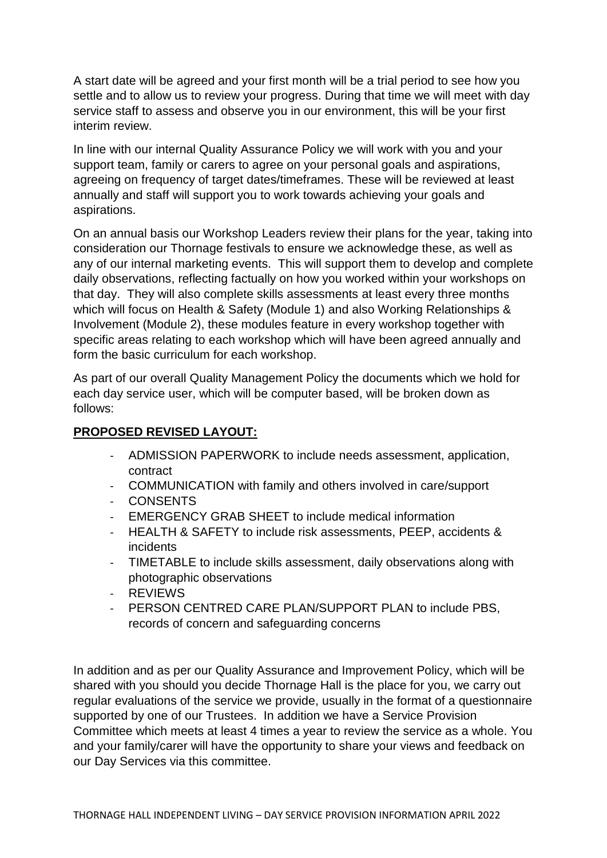A start date will be agreed and your first month will be a trial period to see how you settle and to allow us to review your progress. During that time we will meet with day service staff to assess and observe you in our environment, this will be your first interim review.

In line with our internal Quality Assurance Policy we will work with you and your support team, family or carers to agree on your personal goals and aspirations, agreeing on frequency of target dates/timeframes. These will be reviewed at least annually and staff will support you to work towards achieving your goals and aspirations.

On an annual basis our Workshop Leaders review their plans for the year, taking into consideration our Thornage festivals to ensure we acknowledge these, as well as any of our internal marketing events. This will support them to develop and complete daily observations, reflecting factually on how you worked within your workshops on that day. They will also complete skills assessments at least every three months which will focus on Health & Safety (Module 1) and also Working Relationships & Involvement (Module 2), these modules feature in every workshop together with specific areas relating to each workshop which will have been agreed annually and form the basic curriculum for each workshop.

As part of our overall Quality Management Policy the documents which we hold for each day service user, which will be computer based, will be broken down as follows:

#### **PROPOSED REVISED LAYOUT:**

- ADMISSION PAPERWORK to include needs assessment, application, contract
- COMMUNICATION with family and others involved in care/support
- **CONSENTS**
- EMERGENCY GRAB SHEET to include medical information
- HEALTH & SAFETY to include risk assessments, PEEP, accidents & incidents
- TIMETABLE to include skills assessment, daily observations along with photographic observations
- **REVIEWS**
- PERSON CENTRED CARE PLAN/SUPPORT PLAN to include PBS. records of concern and safeguarding concerns

In addition and as per our Quality Assurance and Improvement Policy, which will be shared with you should you decide Thornage Hall is the place for you, we carry out regular evaluations of the service we provide, usually in the format of a questionnaire supported by one of our Trustees. In addition we have a Service Provision Committee which meets at least 4 times a year to review the service as a whole. You and your family/carer will have the opportunity to share your views and feedback on our Day Services via this committee.